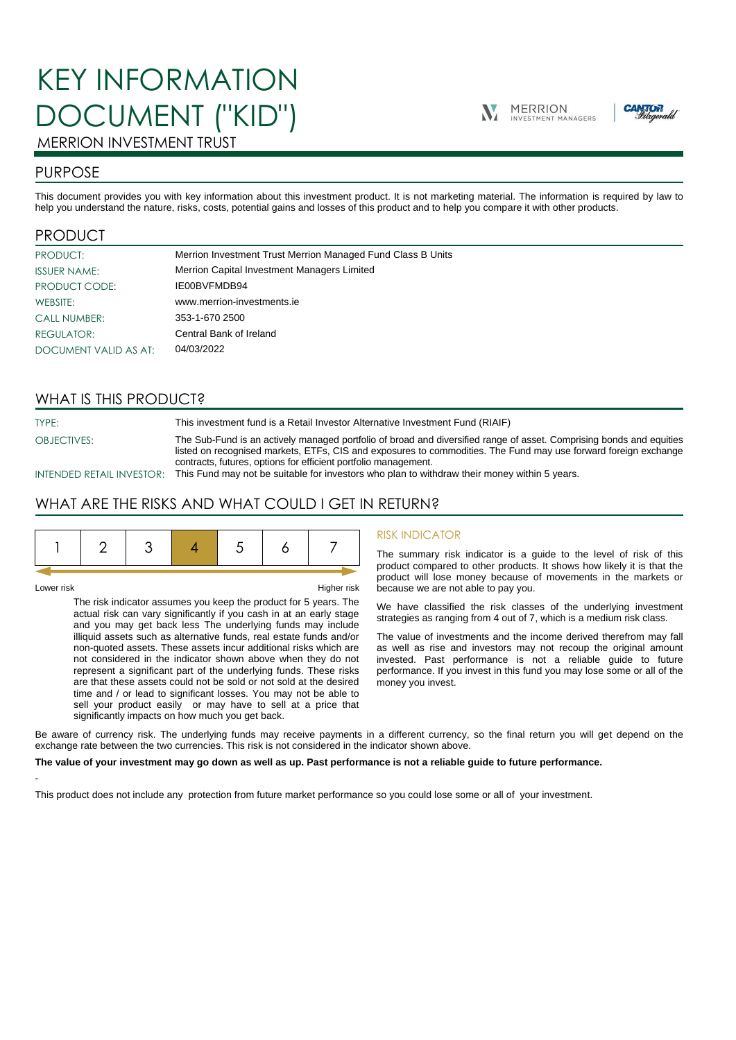# KEY INFORMATION DOCUMENT ("KID")





# MERRION INVESTMENT TRUST

## PURPOSE

This document provides you with key information about this investment product. It is not marketing material. The information is required by law to help you understand the nature, risks, costs, potential gains and losses of this product and to help you compare it with other products.

## PRODUCT

| <b>PRODUCT:</b>       | Merrion Investment Trust Merrion Managed Fund Class B Units |
|-----------------------|-------------------------------------------------------------|
| <b>ISSUER NAME:</b>   | Merrion Capital Investment Managers Limited                 |
| PRODUCT CODE:         | IE00BVFMDB94                                                |
| WEBSITE:              | www.merrion-investments.ie                                  |
| <b>CALL NUMBER:</b>   | 353-1-670 2500                                              |
| REGULATOR:            | Central Bank of Ireland                                     |
| DOCUMENT VALID AS AT: | 04/03/2022                                                  |

## WHAT IS THIS PRODUCT?

TYPE: This investment fund is a Retail Investor Alternative Investment Fund (RIAIF)

OBJECTIVES: The Sub-Fund is an actively managed portfolio of broad and diversified range of asset. Comprising bonds and equities listed on recognised markets, ETFs, CIS and exposures to commodities. The Fund may use forward foreign exchange contracts, futures, options for efficient portfolio management.

INTENDED RETAIL INVESTOR: This Fund may not be suitable for investors who plan to withdraw their money within 5 years.

## WHAT ARE THE RISKS AND WHAT COULD I GET IN RETURN?

-

Lower risk Higher risk

The risk indicator assumes you keep the product for 5 years. The actual risk can vary significantly if you cash in at an early stage and you may get back less The underlying funds may include illiquid assets such as alternative funds, real estate funds and/or non-quoted assets. These assets incur additional risks which are not considered in the indicator shown above when they do not represent a significant part of the underlying funds. These risks are that these assets could not be sold or not sold at the desired time and / or lead to significant losses. You may not be able to sell your product easily or may have to sell at a price that significantly impacts on how much you get back.

#### RISK INDICATOR

The summary risk indicator is a guide to the level of risk of this product compared to other products. It shows how likely it is that the product will lose money because of movements in the markets or because we are not able to pay you.

We have classified the risk classes of the underlying investment strategies as ranging from 4 out of 7, which is a medium risk class.

The value of investments and the income derived therefrom may fall as well as rise and investors may not recoup the original amount invested. Past performance is not a reliable guide to future performance. If you invest in this fund you may lose some or all of the money you invest.

Be aware of currency risk. The underlying funds may receive payments in a different currency, so the final return you will get depend on the exchange rate between the two currencies. This risk is not considered in the indicator shown above.

#### **The value of your investment may go down as well as up. Past performance is not a reliable guide to future performance.**

This product does not include any protection from future market performance so you could lose some or all of your investment.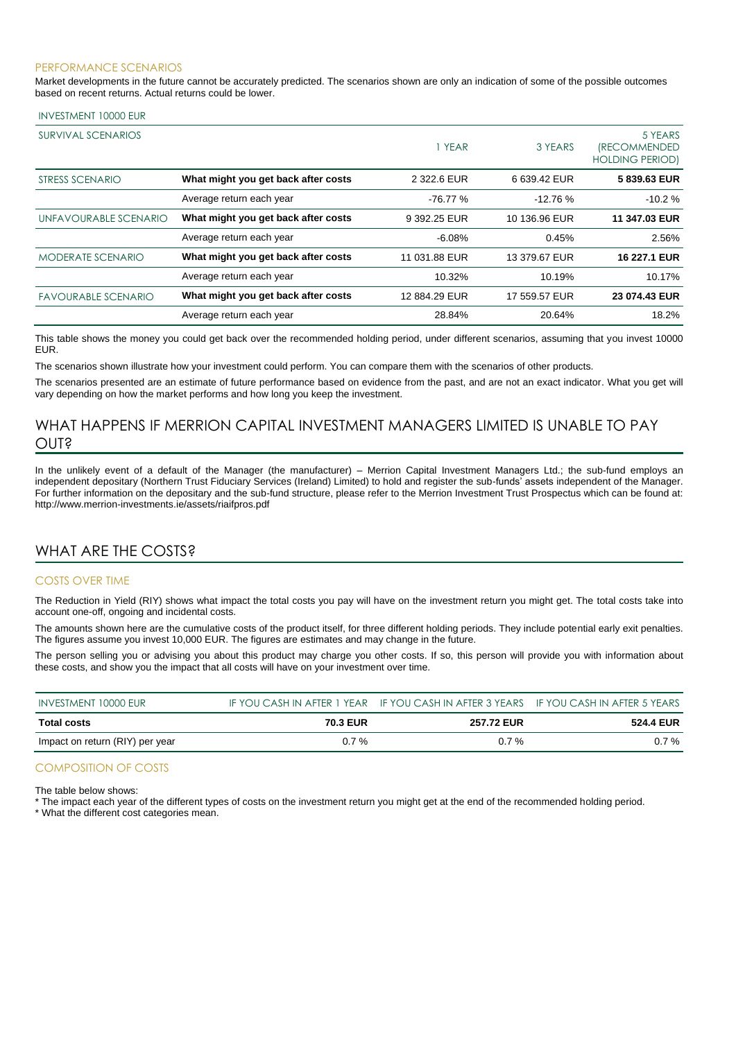#### PERFORMANCE SCENARIOS

Market developments in the future cannot be accurately predicted. The scenarios shown are only an indication of some of the possible outcomes based on recent returns. Actual returns could be lower.

#### INVESTMENT 10000 EUR

| SURVIVAL SCENARIOS         |                                     | 1 YEAR        | 3 YEARS       | 5 YEARS<br><i><b>IRECOMMENDED</b></i><br><b>HOLDING PERIOD)</b> |
|----------------------------|-------------------------------------|---------------|---------------|-----------------------------------------------------------------|
| STRESS SCENARIO            | What might you get back after costs | 2 322.6 EUR   | 6 639.42 EUR  | 5839.63 EUR                                                     |
|                            | Average return each year            | $-76.77%$     | $-12.76%$     | $-10.2%$                                                        |
| UNFAVOURABLE SCENARIO      | What might you get back after costs | 9 392.25 EUR  | 10 136.96 EUR | 11 347.03 EUR                                                   |
|                            | Average return each year            | $-6.08%$      | 0.45%         | 2.56%                                                           |
| <b>MODERATE SCENARIO</b>   | What might you get back after costs | 11 031.88 EUR | 13 379.67 EUR | 16 227.1 EUR                                                    |
|                            | Average return each year            | 10.32%        | 10.19%        | 10.17%                                                          |
| <b>FAVOURABLE SCENARIO</b> | What might you get back after costs | 12 884.29 EUR | 17 559.57 EUR | 23 074.43 EUR                                                   |
|                            | Average return each year            | 28.84%        | 20.64%        | 18.2%                                                           |

This table shows the money you could get back over the recommended holding period, under different scenarios, assuming that you invest 10000 EUR.

The scenarios shown illustrate how your investment could perform. You can compare them with the scenarios of other products.

The scenarios presented are an estimate of future performance based on evidence from the past, and are not an exact indicator. What you get will vary depending on how the market performs and how long you keep the investment.

## WHAT HAPPENS IF MERRION CAPITAL INVESTMENT MANAGERS LIMITED IS UNABLE TO PAY OUT?

In the unlikely event of a default of the Manager (the manufacturer) – Merrion Capital Investment Managers Ltd.; the sub-fund employs an independent depositary (Northern Trust Fiduciary Services (Ireland) Limited) to hold and register the sub-funds' assets independent of the Manager. For further information on the depositary and the sub-fund structure, please refer to the Merrion Investment Trust Prospectus which can be found at: http://www.merrion-investments.ie/assets/riaifpros.pdf

## WHAT ARE THE COSTS?

#### COSTS OVER TIME

The Reduction in Yield (RIY) shows what impact the total costs you pay will have on the investment return you might get. The total costs take into account one-off, ongoing and incidental costs.

The amounts shown here are the cumulative costs of the product itself, for three different holding periods. They include potential early exit penalties. The figures assume you invest 10,000 EUR. The figures are estimates and may change in the future.

The person selling you or advising you about this product may charge you other costs. If so, this person will provide you with information about these costs, and show you the impact that all costs will have on your investment over time.

| INVESTMENT 10000 EUR            |                 | IF YOU CASH IN AFTER 1 YEAR IF YOU CASH IN AFTER 3 YEARS IF YOU CASH IN AFTER 5 YEARS |                  |
|---------------------------------|-----------------|---------------------------------------------------------------------------------------|------------------|
| Total costs                     | <b>70.3 EUR</b> | <b>257.72 EUR</b>                                                                     | <b>524.4 EUR</b> |
| Impact on return (RIY) per year | $0.7 \%$        | $0.7\%$                                                                               | $0.7\%$          |

#### COMPOSITION OF COSTS

The table below shows:

\* The impact each year of the different types of costs on the investment return you might get at the end of the recommended holding period.

\* What the different cost categories mean.